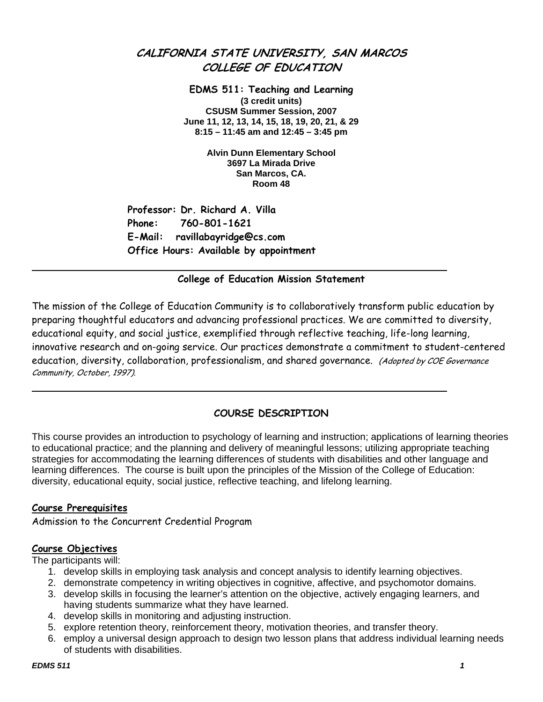# **CALIFORNIA STATE UNIVERSITY, SAN MARCOS COLLEGE OF EDUCATION**

**EDMS 511: Teaching and Learning (3 credit units) CSUSM Summer Session, 2007 June 11, 12, 13, 14, 15, 18, 19, 20, 21, & 29 8:15 – 11:45 am and 12:45 – 3:45 pm** 

> **Alvin Dunn Elementary School 3697 La Mirada Drive San Marcos, CA. Room 48**

**Professor: Dr. Richard A. Villa Phone: 760-801-1621 E-Mail: ravillabayridge@cs.com Office Hours: Available by appointment** 

## **College of Education Mission Statement**

The mission of the College of Education Community is to collaboratively transform public education by preparing thoughtful educators and advancing professional practices. We are committed to diversity, educational equity, and social justice, exemplified through reflective teaching, life-long learning, innovative research and on-going service. Our practices demonstrate a commitment to student-centered education, diversity, collaboration, professionalism, and shared governance. (Adopted by COE Governance Community, October, 1997).

## **COURSE DESCRIPTION**

This course provides an introduction to psychology of learning and instruction; applications of learning theories to educational practice; and the planning and delivery of meaningful lessons; utilizing appropriate teaching strategies for accommodating the learning differences of students with disabilities and other language and learning differences. The course is built upon the principles of the Mission of the College of Education: diversity, educational equity, social justice, reflective teaching, and lifelong learning.

## **Course Prerequisites**

Admission to the Concurrent Credential Program

## **Course Objectives**

The participants will:

- 1. develop skills in employing task analysis and concept analysis to identify learning objectives.
- 2. demonstrate competency in writing objectives in cognitive, affective, and psychomotor domains.
- 3. develop skills in focusing the learner's attention on the objective, actively engaging learners, and having students summarize what they have learned.
- 4. develop skills in monitoring and adjusting instruction.
- 5. explore retention theory, reinforcement theory, motivation theories, and transfer theory.
- 6. employ a universal design approach to design two lesson plans that address individual learning needs of students with disabilities.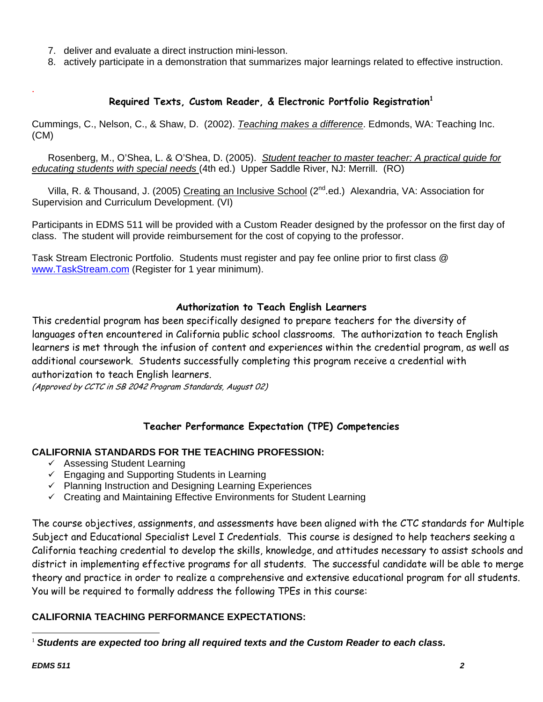- 7. deliver and evaluate a direct instruction mini-lesson.
- 8. actively participate in a demonstration that summarizes major learnings related to effective instruction.

## **Required Texts, Custom Reader, & Electronic Portfolio Registration<sup>1</sup>**

Cummings, C., Nelson, C., & Shaw, D. (2002). *Teaching makes a difference*. Edmonds, WA: Teaching Inc. (CM)

 Rosenberg, M., O'Shea, L. & O'Shea, D. (2005). *Student teacher to master teacher: A practical guide for educating students with special needs* (4th ed.) Upper Saddle River, NJ: Merrill. (RO)

Villa, R. & Thousand, J. (2005) Creating an Inclusive School (2<sup>nd</sup>.ed.) Alexandria, VA: Association for Supervision and Curriculum Development. (VI)

Participants in EDMS 511 will be provided with a Custom Reader designed by the professor on the first day of class. The student will provide reimbursement for the cost of copying to the professor.

Task Stream Electronic Portfolio. Students must register and pay fee online prior to first class @ www.TaskStream.com (Register for 1 year minimum).

## **Authorization to Teach English Learners**

This credential program has been specifically designed to prepare teachers for the diversity of languages often encountered in California public school classrooms. The authorization to teach English learners is met through the infusion of content and experiences within the credential program, as well as additional coursework. Students successfully completing this program receive a credential with authorization to teach English learners.

(Approved by CCTC in SB 2042 Program Standards, August 02)

## **Teacher Performance Expectation (TPE) Competencies**

## **CALIFORNIA STANDARDS FOR THE TEACHING PROFESSION:**

- $\checkmark$  Assessing Student Learning
- $\checkmark$  Engaging and Supporting Students in Learning
- $\checkmark$  Planning Instruction and Designing Learning Experiences
- $\checkmark$  Creating and Maintaining Effective Environments for Student Learning

The course objectives, assignments, and assessments have been aligned with the CTC standards for Multiple Subject and Educational Specialist Level I Credentials. This course is designed to help teachers seeking a California teaching credential to develop the skills, knowledge, and attitudes necessary to assist schools and district in implementing effective programs for all students. The successful candidate will be able to merge theory and practice in order to realize a comprehensive and extensive educational program for all students. You will be required to formally address the following TPEs in this course:

## **CALIFORNIA TEACHING PERFORMANCE EXPECTATIONS:**

 $\overline{a}$ <sup>1</sup> *Students are expected too bring all required texts and the Custom Reader to each class.* 

.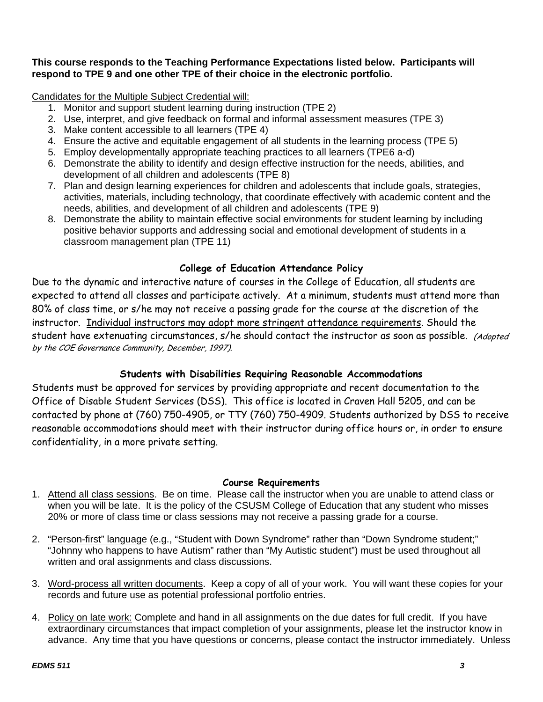## **This course responds to the Teaching Performance Expectations listed below. Participants will respond to TPE 9 and one other TPE of their choice in the electronic portfolio.**

Candidates for the Multiple Subject Credential will:

- 1. Monitor and support student learning during instruction (TPE 2)
- 2. Use, interpret, and give feedback on formal and informal assessment measures (TPE 3)
- 3. Make content accessible to all learners (TPE 4)
- 4. Ensure the active and equitable engagement of all students in the learning process (TPE 5)
- 5. Employ developmentally appropriate teaching practices to all learners (TPE6 a-d)
- 6. Demonstrate the ability to identify and design effective instruction for the needs, abilities, and development of all children and adolescents (TPE 8)
- 7. Plan and design learning experiences for children and adolescents that include goals, strategies, activities, materials, including technology, that coordinate effectively with academic content and the needs, abilities, and development of all children and adolescents (TPE 9)
- 8. Demonstrate the ability to maintain effective social environments for student learning by including positive behavior supports and addressing social and emotional development of students in a classroom management plan (TPE 11)

## **College of Education Attendance Policy**

Due to the dynamic and interactive nature of courses in the College of Education, all students are expected to attend all classes and participate actively. At a minimum, students must attend more than 80% of class time, or s/he may not receive a passing grade for the course at the discretion of the instructor. Individual instructors may adopt more stringent attendance requirements. Should the student have extenuating circumstances, s/he should contact the instructor as soon as possible. (Adopted by the COE Governance Community, December, 1997).

## **Students with Disabilities Requiring Reasonable Accommodations**

Students must be approved for services by providing appropriate and recent documentation to the Office of Disable Student Services (DSS). This office is located in Craven Hall 5205, and can be contacted by phone at (760) 750-4905, or TTY (760) 750-4909. Students authorized by DSS to receive reasonable accommodations should meet with their instructor during office hours or, in order to ensure confidentiality, in a more private setting.

## **Course Requirements**

- 1. Attend all class sessions. Be on time. Please call the instructor when you are unable to attend class or when you will be late. It is the policy of the CSUSM College of Education that any student who misses 20% or more of class time or class sessions may not receive a passing grade for a course.
- 2. "Person-first" language (e.g., "Student with Down Syndrome" rather than "Down Syndrome student;" "Johnny who happens to have Autism" rather than "My Autistic student") must be used throughout all written and oral assignments and class discussions.
- 3. Word-process all written documents. Keep a copy of all of your work. You will want these copies for your records and future use as potential professional portfolio entries.
- 4. Policy on late work: Complete and hand in all assignments on the due dates for full credit. If you have extraordinary circumstances that impact completion of your assignments, please let the instructor know in advance. Any time that you have questions or concerns, please contact the instructor immediately. Unless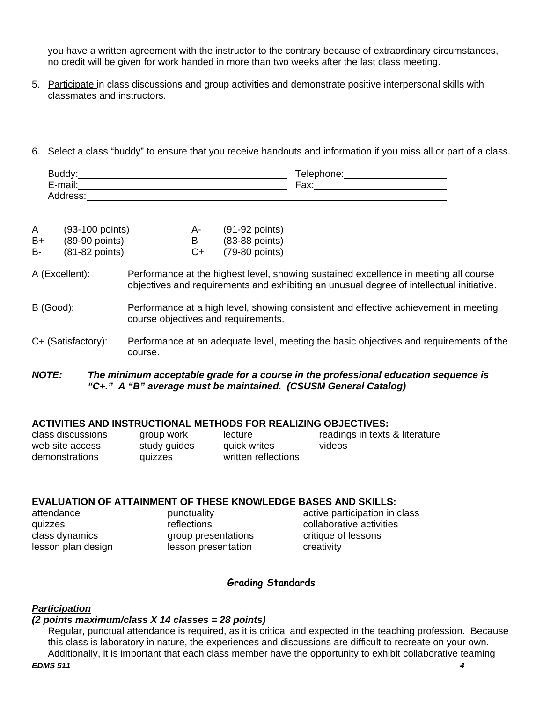you have a written agreement with the instructor to the contrary because of extraordinary circumstances, no credit will be given for work handed in more than two weeks after the last class meeting.

- 5. Participate in class discussions and group activities and demonstrate positive interpersonal skills with classmates and instructors.
- 6. Select a class "buddy" to ensure that you receive handouts and information if you miss all or part of a class.

| .                                             |      |
|-----------------------------------------------|------|
| .<br>⊶me"<br>$\sim$ $\sim$ $\sim$ $\sim$<br>- | Fax: |
| ູບບ                                           |      |

| A  | $(93-100$ points)        | А-   | $(91-92$ points) |
|----|--------------------------|------|------------------|
| B+ | $(89-90$ points)         | в    | $(83-88$ points) |
| B- | $(81-82 \text{ points})$ | $C+$ | $(79-80$ points) |

A (Excellent): Performance at the highest level, showing sustained excellence in meeting all course objectives and requirements and exhibiting an unusual degree of intellectual initiative.

#### B (Good): Performance at a high level, showing consistent and effective achievement in meeting course objectives and requirements.

C+ (Satisfactory): Performance at an adequate level, meeting the basic objectives and requirements of the course.

#### *NOTE: The minimum acceptable grade for a course in the professional education sequence is "C+." A "B" average must be maintained. (CSUSM General Catalog)*

#### **ACTIVITIES AND INSTRUCTIONAL METHODS FOR REALIZING OBJECTIVES:**

| class discussions | group work   | lecture             | readings in texts & literature |
|-------------------|--------------|---------------------|--------------------------------|
| web site access   | study guides | quick writes        | videos                         |
| demonstrations    | quizzes      | written reflections |                                |

## **EVALUATION OF ATTAINMENT OF THESE KNOWLEDGE BASES AND SKILLS:**

| attendance         |  |
|--------------------|--|
| quizzes            |  |
| class dynamics     |  |
| lesson plan design |  |

group presentations critique of lessons lesson presentation creativity

punctuality **active participation in class** reflections collaborative activities

## **Grading Standards**

## *Participation*

#### *(2 points maximum/class X 14 classes = 28 points)*

Regular, punctual attendance is required, as it is critical and expected in the teaching profession. Because this class is laboratory in nature, the experiences and discussions are difficult to recreate on your own. Additionally, it is important that each class member have the opportunity to exhibit collaborative teaming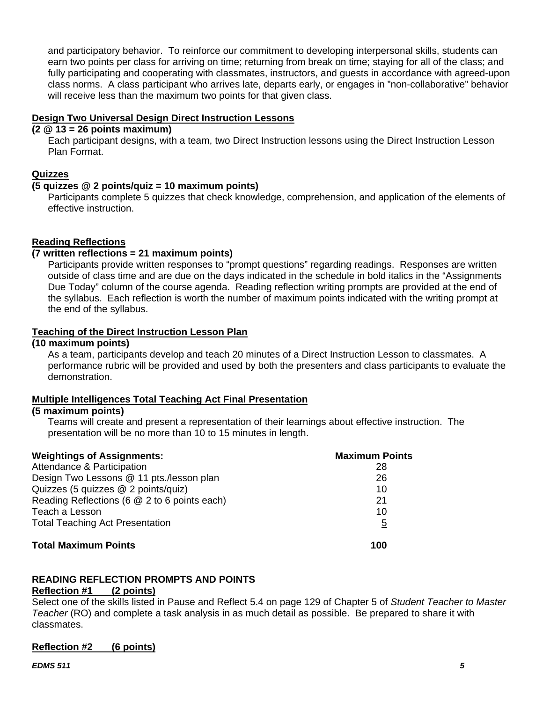and participatory behavior. To reinforce our commitment to developing interpersonal skills, students can earn two points per class for arriving on time; returning from break on time; staying for all of the class; and fully participating and cooperating with classmates, instructors, and guests in accordance with agreed-upon class norms. A class participant who arrives late, departs early, or engages in "non-collaborative" behavior will receive less than the maximum two points for that given class.

### **Design Two Universal Design Direct Instruction Lessons**

### **(2 @ 13 = 26 points maximum)**

Each participant designs, with a team, two Direct Instruction lessons using the Direct Instruction Lesson Plan Format.

## **Quizzes**

#### **(5 quizzes @ 2 points/quiz = 10 maximum points)**

Participants complete 5 quizzes that check knowledge, comprehension, and application of the elements of effective instruction.

## **Reading Reflections**

## **(7 written reflections = 21 maximum points)**

Participants provide written responses to "prompt questions" regarding readings. Responses are written outside of class time and are due on the days indicated in the schedule in bold italics in the "Assignments Due Today" column of the course agenda. Reading reflection writing prompts are provided at the end of the syllabus. Each reflection is worth the number of maximum points indicated with the writing prompt at the end of the syllabus.

## **Teaching of the Direct Instruction Lesson Plan**

#### **(10 maximum points)**

As a team, participants develop and teach 20 minutes of a Direct Instruction Lesson to classmates. A performance rubric will be provided and used by both the presenters and class participants to evaluate the demonstration.

## **Multiple Intelligences Total Teaching Act Final Presentation**

#### **(5 maximum points)**

Teams will create and present a representation of their learnings about effective instruction. The presentation will be no more than 10 to 15 minutes in length.

| <b>Weightings of Assignments:</b>            | <b>Maximum Points</b> |
|----------------------------------------------|-----------------------|
| Attendance & Participation                   | 28                    |
| Design Two Lessons @ 11 pts./lesson plan     | 26                    |
| Quizzes (5 quizzes @ 2 points/quiz)          | 10                    |
| Reading Reflections (6 @ 2 to 6 points each) | 21                    |
| Teach a Lesson                               | 10                    |
| <b>Total Teaching Act Presentation</b>       | $\overline{5}$        |
| <b>Total Maximum Points</b>                  | 100                   |

## **READING REFLECTION PROMPTS AND POINTS**

#### **Reflection #1 (2 points)**

Select one of the skills listed in Pause and Reflect 5.4 on page 129 of Chapter 5 of *Student Teacher to Master Teacher* (RO) and complete a task analysis in as much detail as possible. Be prepared to share it with classmates.

## **Reflection #2 (6 points)**

#### *EDMS 511 5*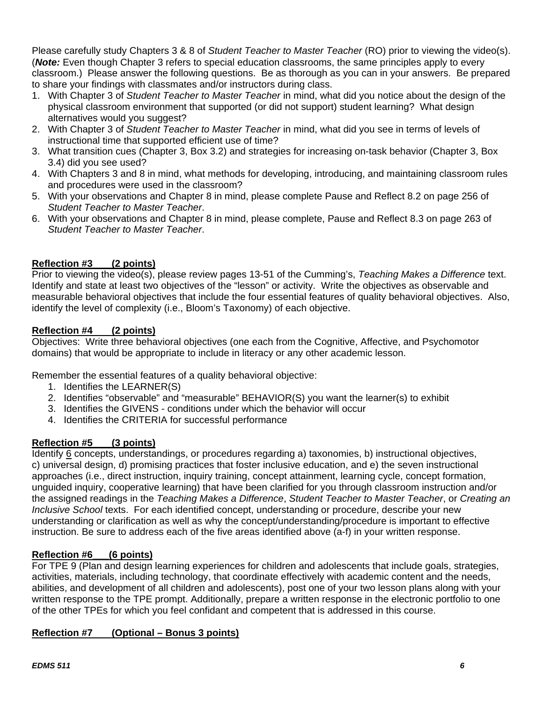Please carefully study Chapters 3 & 8 of *Student Teacher to Master Teacher* (RO) prior to viewing the video(s). (*Note:* Even though Chapter 3 refers to special education classrooms, the same principles apply to every classroom.) Please answer the following questions. Be as thorough as you can in your answers. Be prepared to share your findings with classmates and/or instructors during class.

- 1. With Chapter 3 of *Student Teacher to Master Teacher* in mind, what did you notice about the design of the physical classroom environment that supported (or did not support) student learning? What design alternatives would you suggest?
- 2. With Chapter 3 of *Student Teacher to Master Teacher* in mind, what did you see in terms of levels of instructional time that supported efficient use of time?
- 3. What transition cues (Chapter 3, Box 3.2) and strategies for increasing on-task behavior (Chapter 3, Box 3.4) did you see used?
- 4. With Chapters 3 and 8 in mind, what methods for developing, introducing, and maintaining classroom rules and procedures were used in the classroom?
- 5. With your observations and Chapter 8 in mind, please complete Pause and Reflect 8.2 on page 256 of *Student Teacher to Master Teacher*.
- 6. With your observations and Chapter 8 in mind, please complete, Pause and Reflect 8.3 on page 263 of *Student Teacher to Master Teacher*.

## **Reflection #3 (2 points)**

Prior to viewing the video(s), please review pages 13-51 of the Cumming's, *Teaching Makes a Difference* text. Identify and state at least two objectives of the "lesson" or activity. Write the objectives as observable and measurable behavioral objectives that include the four essential features of quality behavioral objectives. Also, identify the level of complexity (i.e., Bloom's Taxonomy) of each objective.

## **Reflection #4 (2 points)**

Objectives: Write three behavioral objectives (one each from the Cognitive, Affective, and Psychomotor domains) that would be appropriate to include in literacy or any other academic lesson.

Remember the essential features of a quality behavioral objective:

- 1. Identifies the LEARNER(S)
- 2. Identifies "observable" and "measurable" BEHAVIOR(S) you want the learner(s) to exhibit
- 3. Identifies the GIVENS conditions under which the behavior will occur
- 4. Identifies the CRITERIA for successful performance

## **Reflection #5 (3 points)**

Identify 6 concepts, understandings, or procedures regarding a) taxonomies, b) instructional objectives, c) universal design, d) promising practices that foster inclusive education, and e) the seven instructional approaches (i.e., direct instruction, inquiry training, concept attainment, learning cycle, concept formation, unguided inquiry, cooperative learning) that have been clarified for you through classroom instruction and/or the assigned readings in the *Teaching Makes a Difference*, *Student Teacher to Master Teacher*, or *Creating an Inclusive School* texts. For each identified concept, understanding or procedure, describe your new understanding or clarification as well as why the concept/understanding/procedure is important to effective instruction. Be sure to address each of the five areas identified above (a-f) in your written response.

## **Reflection #6\_\_\_(6 points)**

For TPE 9 (Plan and design learning experiences for children and adolescents that include goals, strategies, activities, materials, including technology, that coordinate effectively with academic content and the needs, abilities, and development of all children and adolescents), post one of your two lesson plans along with your written response to the TPE prompt. Additionally, prepare a written response in the electronic portfolio to one of the other TPEs for which you feel confidant and competent that is addressed in this course.

## **Reflection #7 (Optional – Bonus 3 points)**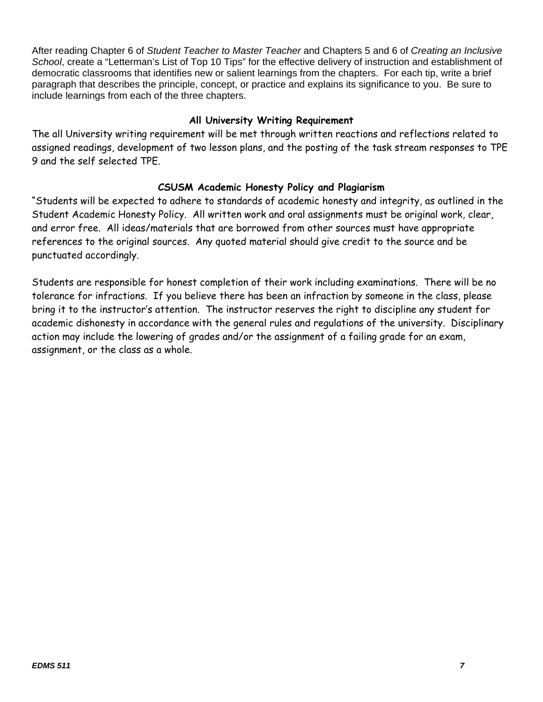After reading Chapter 6 of *Student Teacher to Master Teacher* and Chapters 5 and 6 of *Creating an Inclusive School*, create a "Letterman's List of Top 10 Tips" for the effective delivery of instruction and establishment of democratic classrooms that identifies new or salient learnings from the chapters. For each tip, write a brief paragraph that describes the principle, concept, or practice and explains its significance to you. Be sure to include learnings from each of the three chapters.

## **All University Writing Requirement**

The all University writing requirement will be met through written reactions and reflections related to assigned readings, development of two lesson plans, and the posting of the task stream responses to TPE 9 and the self selected TPE.

## **CSUSM Academic Honesty Policy and Plagiarism**

"Students will be expected to adhere to standards of academic honesty and integrity, as outlined in the Student Academic Honesty Policy. All written work and oral assignments must be original work, clear, and error free. All ideas/materials that are borrowed from other sources must have appropriate references to the original sources. Any quoted material should give credit to the source and be punctuated accordingly.

Students are responsible for honest completion of their work including examinations. There will be no tolerance for infractions. If you believe there has been an infraction by someone in the class, please bring it to the instructor's attention. The instructor reserves the right to discipline any student for academic dishonesty in accordance with the general rules and regulations of the university. Disciplinary action may include the lowering of grades and/or the assignment of a failing grade for an exam, assignment, or the class as a whole.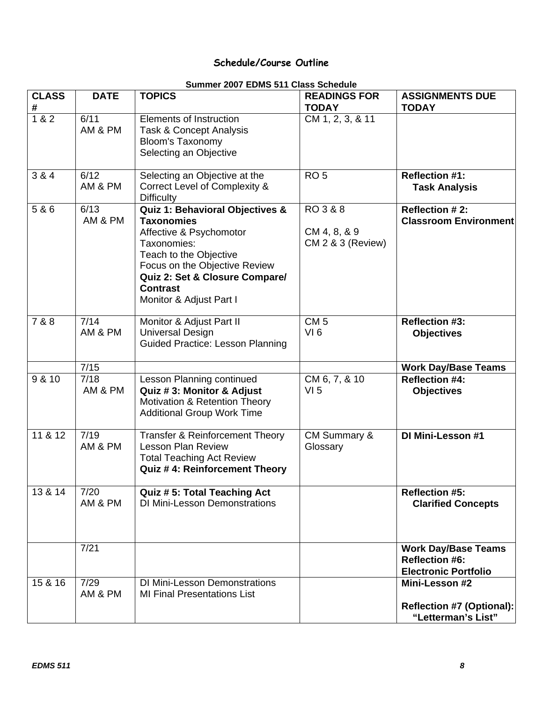# **Schedule/Course Outline**

## **Summer 2007 EDMS 511 Class Schedule**

| <b>CLASS</b><br># | <b>DATE</b>       | <u>JUININGI ZUUT LIJINIJ JTT URSS JUNGUUIG</u><br><b>TOPICS</b>                                                                                                                                                                           | <b>READINGS FOR</b><br><b>TODAY</b>           | <b>ASSIGNMENTS DUE</b><br><b>TODAY</b>                                             |
|-------------------|-------------------|-------------------------------------------------------------------------------------------------------------------------------------------------------------------------------------------------------------------------------------------|-----------------------------------------------|------------------------------------------------------------------------------------|
| 1 & 2             | 6/11<br>AM & PM   | <b>Elements of Instruction</b><br>Task & Concept Analysis<br><b>Bloom's Taxonomy</b><br>Selecting an Objective                                                                                                                            | CM 1, 2, 3, & 11                              |                                                                                    |
| 3 & 4             | 6/12<br>AM & PM   | Selecting an Objective at the<br>Correct Level of Complexity &<br><b>Difficulty</b>                                                                                                                                                       | RO <sub>5</sub>                               | <b>Reflection #1:</b><br><b>Task Analysis</b>                                      |
| 5 & 6             | 6/13<br>AM & PM   | Quiz 1: Behavioral Objectives &<br><b>Taxonomies</b><br>Affective & Psychomotor<br>Taxonomies:<br>Teach to the Objective<br>Focus on the Objective Review<br>Quiz 2: Set & Closure Compare/<br><b>Contrast</b><br>Monitor & Adjust Part I | RO 3 & 8<br>CM 4, 8, & 9<br>CM 2 & 3 (Review) | <b>Reflection #2:</b><br><b>Classroom Environment</b>                              |
| 7 & 8             | 7/14<br>AM & PM   | Monitor & Adjust Part II<br><b>Universal Design</b><br><b>Guided Practice: Lesson Planning</b>                                                                                                                                            | CM <sub>5</sub><br>VI <sub>6</sub>            | <b>Reflection #3:</b><br><b>Objectives</b>                                         |
|                   | $\overline{7/15}$ |                                                                                                                                                                                                                                           |                                               | <b>Work Day/Base Teams</b>                                                         |
| 9 & 10            | 7/18<br>AM & PM   | Lesson Planning continued<br>Quiz #3: Monitor & Adjust<br>Motivation & Retention Theory<br><b>Additional Group Work Time</b>                                                                                                              | CM 6, 7, & 10<br>VI <sub>5</sub>              | <b>Reflection #4:</b><br><b>Objectives</b>                                         |
| 11 & 12           | 7/19<br>AM & PM   | Transfer & Reinforcement Theory<br><b>Lesson Plan Review</b><br><b>Total Teaching Act Review</b><br>Quiz #4: Reinforcement Theory                                                                                                         | CM Summary &<br>Glossary                      | DI Mini-Lesson #1                                                                  |
| 13 & 14           | 7/20<br>AM & PM   | <b>Quiz #5: Total Teaching Act</b><br><b>DI Mini-Lesson Demonstrations</b>                                                                                                                                                                |                                               | <b>Reflection #5:</b><br><b>Clarified Concepts</b>                                 |
|                   | 7/21              |                                                                                                                                                                                                                                           |                                               | <b>Work Day/Base Teams</b><br><b>Reflection #6:</b><br><b>Electronic Portfolio</b> |
| 15 & 16           | 7/29<br>AM & PM   | <b>DI Mini-Lesson Demonstrations</b><br><b>MI Final Presentations List</b>                                                                                                                                                                |                                               | Mini-Lesson #2<br>Reflection #7 (Optional):<br>"Letterman's List"                  |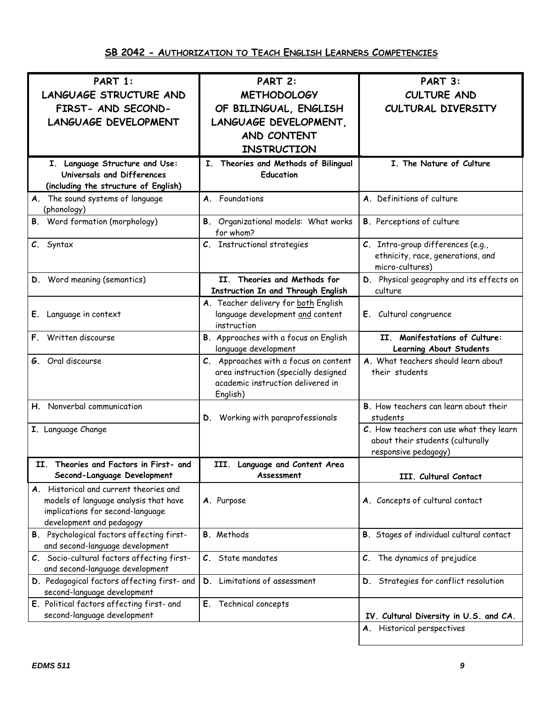| PART 1:                                                               | PART 2:                                                                   | PART 3:                                               |
|-----------------------------------------------------------------------|---------------------------------------------------------------------------|-------------------------------------------------------|
| <b>LANGUAGE STRUCTURE AND</b>                                         | <b>METHODOLOGY</b>                                                        | <b>CULTURE AND</b>                                    |
| FIRST- AND SECOND-                                                    | OF BILINGUAL, ENGLISH                                                     | CULTURAL DIVERSITY                                    |
| <b>LANGUAGE DEVELOPMENT</b>                                           | LANGUAGE DEVELOPMENT,                                                     |                                                       |
|                                                                       | AND CONTENT                                                               |                                                       |
|                                                                       | <b>INSTRUCTION</b>                                                        |                                                       |
|                                                                       | I. Theories and Methods of Bilingual                                      | I. The Nature of Culture                              |
| I. Language Structure and Use:<br>Universals and Differences          | <b>Education</b>                                                          |                                                       |
| (including the structure of English)                                  |                                                                           |                                                       |
| A. The sound systems of language                                      | Foundations<br>A.                                                         | A. Definitions of culture                             |
| (phonology)                                                           |                                                                           |                                                       |
| <b>B.</b> Word formation (morphology)                                 | B. Organizational models: What works<br>for whom?                         | <b>B.</b> Perceptions of culture                      |
| C. Syntax                                                             | C. Instructional strategies                                               | C. Intra-group differences (e.g.,                     |
|                                                                       |                                                                           | ethnicity, race, generations, and                     |
|                                                                       |                                                                           | micro-cultures)                                       |
| D. Word meaning (semantics)                                           | II. Theories and Methods for<br>Instruction In and Through English        | D. Physical geography and its effects on<br>culture   |
|                                                                       | A. Teacher delivery for both English                                      |                                                       |
| E. Language in context                                                | language development and content<br>instruction                           | E. Cultural congruence                                |
| F. Written discourse                                                  | B. Approaches with a focus on English                                     | II. Manifestations of Culture:                        |
|                                                                       | language development                                                      | Learning About Students                               |
| G. Oral discourse                                                     | C. Approaches with a focus on content                                     | A. What teachers should learn about<br>their students |
|                                                                       | area instruction (specially designed<br>academic instruction delivered in |                                                       |
|                                                                       | English)                                                                  |                                                       |
| H. Nonverbal communication                                            |                                                                           | B. How teachers can learn about their                 |
|                                                                       | D. Working with paraprofessionals                                         | students                                              |
| I. Language Change                                                    |                                                                           | C. How teachers can use what they learn               |
|                                                                       |                                                                           | about their students (culturally                      |
|                                                                       |                                                                           | responsive pedagogy)                                  |
| Theories and Factors in First- and<br>II.                             | III.<br>Language and Content Area                                         |                                                       |
| Second-Language Development                                           | Assessment                                                                | III. Cultural Contact                                 |
| A. Historical and current theories and                                |                                                                           |                                                       |
| models of language analysis that have                                 | A. Purpose                                                                | A. Concepts of cultural contact                       |
| implications for second-language                                      |                                                                           |                                                       |
| development and pedagogy<br>B. Psychological factors affecting first- | <b>B.</b> Methods                                                         | B. Stages of individual cultural contact              |
| and second-language development                                       |                                                                           |                                                       |
| C. Socio-cultural factors affecting first-                            | State mandates<br>$\mathcal{C}$ .                                         | C. The dynamics of prejudice                          |
| and second-language development                                       |                                                                           |                                                       |
| D. Pedagogical factors affecting first- and                           | D. Limitations of assessment                                              | D. Strategies for conflict resolution                 |
| second-language development                                           |                                                                           |                                                       |
| E. Political factors affecting first- and                             | E. Technical concepts                                                     |                                                       |
| second-language development                                           |                                                                           | IV. Cultural Diversity in U.S. and CA.                |
|                                                                       |                                                                           | A. Historical perspectives                            |
|                                                                       |                                                                           |                                                       |